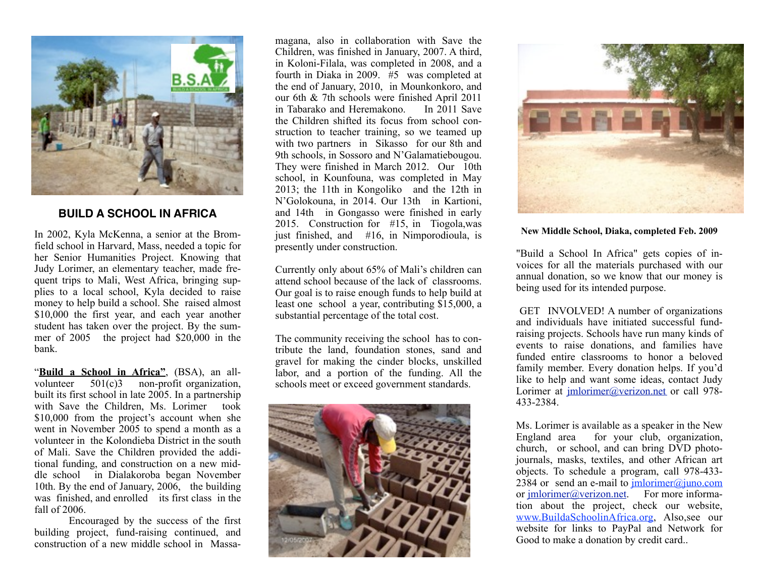

## **BUILD A SCHOOL IN AFRICA**

In 2002, Kyla McKenna, a senior at the Bromfield school in Harvard, Mass, needed a topic for her Senior Humanities Project. Knowing that Judy Lorimer, an elementary teacher, made frequent trips to Mali, West Africa, bringing supplies to a local school, Kyla decided to raise money to help build a school. She raised almost \$10,000 the first year, and each year another student has taken over the project. By the summer of 2005 the project had \$20,000 in the bank.

"**Build a School in Africa"**, (BSA), an allvolunteer 501(c)3 non-profit organization, built its first school in late 2005. In a partnership with Save the Children, Ms. Lorimer took \$10,000 from the project's account when she went in November 2005 to spend a month as a volunteer in the Kolondieba District in the south of Mali. Save the Children provided the additional funding, and construction on a new middle school in Dialakoroba began November 10th. By the end of January, 2006, the building was finished, and enrolled its first class in the fall of 2006.

 Encouraged by the success of the first building project, fund-raising continued, and construction of a new middle school in Massa-

magana, also in collaboration with Save the Children, was finished in January, 2007. A third, in Koloni-Filala, was completed in 2008, and a fourth in Diaka in 2009.  $#5$  was completed at the end of January, 2010, in Mounkonkoro, and our 6th & 7th schools were finished April 2011 in Tabarako and Heremakono. In 2011 Save the Children shifted its focus from school construction to teacher training, so we teamed up with two partners in Sikasso for our 8th and 9th schools, in Sossoro and N'Galamatiebougou. They were finished in March 2012. Our 10th school, in Kounfouna, was completed in May 2013; the 11th in Kongoliko and the 12th in N'Golokouna, in 2014. Our 13th in Kartioni, and 14th in Gongasso were finished in early 2015. Construction for #15, in Tiogola,was just finished, and #16, in Nimporodioula, is presently under construction.

Currently only about 65% of Mali's children can attend school because of the lack of classrooms. Our goal is to raise enough funds to help build at least one school a year, contributing \$15,000, a substantial percentage of the total cost.

The community receiving the school has to contribute the land, foundation stones, sand and gravel for making the cinder blocks, unskilled labor, and a portion of the funding. All the schools meet or exceed government standards.





**New Middle School, Diaka, completed Feb. 2009**

"Build a School In Africa" gets copies of invoices for all the materials purchased with our annual donation, so we know that our money is being used for its intended purpose.

GET INVOLVED! A number of organizations and individuals have initiated successful fundraising projects. Schools have run many kinds of events to raise donations, and families have funded entire classrooms to honor a beloved family member. Every donation helps. If you'd like to help and want some ideas, contact Judy Lorimer at *imlorimer@verizon.net* or call 978-433-2384.

Ms. Lorimer is available as a speaker in the New England area for your club, organization, church, or school, and can bring DVD photojournals, masks, textiles, and other African art objects. To schedule a program, call 978-433- 2384 or send an e-mail to  $\frac{\text{imlorimer}(a)\text{imocom}}{\text{imlorimer}(a)\text{imocom}}$ or *jmlorimer@verizon.net*. For more information about the project, check our website, [www.BuildaSchoolinAfrica.org,](http://www.BuildaSchoolinAfrica.org) Also,see our website for links to PayPal and Network for Good to make a donation by credit card..